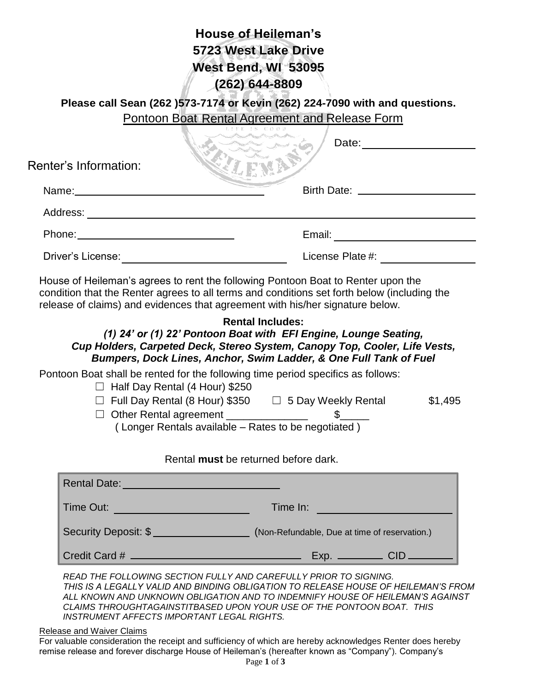| <b>HUUSE ULTIEIIEIIIAII S</b>                                                                                                                                                                                                 |                       |  |
|-------------------------------------------------------------------------------------------------------------------------------------------------------------------------------------------------------------------------------|-----------------------|--|
| 5723 West Lake Drive                                                                                                                                                                                                          |                       |  |
| West Bend, WI 53095                                                                                                                                                                                                           |                       |  |
| $(262)$ 644-8809                                                                                                                                                                                                              |                       |  |
| Please call Sean (262 )573-7174 or Kevin (262) 224-7090 with and questions.                                                                                                                                                   |                       |  |
| Pontoon Boat Rental Agreement and Release Form                                                                                                                                                                                |                       |  |
|                                                                                                                                                                                                                               | Date: <u>________</u> |  |
| <b>Renter's Information:</b>                                                                                                                                                                                                  |                       |  |
| Name:____________                                                                                                                                                                                                             |                       |  |
|                                                                                                                                                                                                                               |                       |  |
| Phone: Note and the set of the set of the set of the set of the set of the set of the set of the set of the set of the set of the set of the set of the set of the set of the set of the set of the set of the set of the set | Email: Email:         |  |
| Driver's License:                                                                                                                                                                                                             | License Plate #:      |  |
|                                                                                                                                                                                                                               |                       |  |

**House of Heileman's**

House of Heileman's agrees to rent the following Pontoon Boat to Renter upon the condition that the Renter agrees to all terms and conditions set forth below (including the release of claims) and evidences that agreement with his/her signature below.

### **Rental Includes:**

## *(1) 24' or (1) 22' Pontoon Boat with EFI Engine, Lounge Seating, Cup Holders, Carpeted Deck, Stereo System, Canopy Top, Cooler, Life Vests, Bumpers, Dock Lines, Anchor, Swim Ladder, & One Full Tank of Fuel*

Pontoon Boat shall be rented for the following time period specifics as follows:

- $\Box$  Half Day Rental (4 Hour) \$250
- $\Box$  Full Day Rental (8 Hour) \$350  $\Box$  5 Day Weekly Rental \$1,495

 $\Box$  Other Rental agreement

( Longer Rentals available – Rates to be negotiated )

#### Rental **must** be returned before dark.

| <b>Rental Date:</b>  |                                               |
|----------------------|-----------------------------------------------|
| Time Out:            | Time In:                                      |
| Security Deposit: \$ | (Non-Refundable, Due at time of reservation.) |
| Credit Card #        |                                               |

*READ THE FOLLOWING SECTION FULLY AND CAREFULLY PRIOR TO SIGNING. THIS IS A LEGALLY VALID AND BINDING OBLIGATION TO RELEASE HOUSE OF HEILEMAN'S FROM ALL KNOWN AND UNKNOWN OBLIGATION AND TO INDEMNIFY HOUSE OF HEILEMAN'S AGAINST CLAIMS THROUGHTAGAINSTITBASED UPON YOUR USE OF THE PONTOON BOAT. THIS INSTRUMENT AFFECTS IMPORTANT LEGAL RIGHTS.*

Release and Waiver Claims

For valuable consideration the receipt and sufficiency of which are hereby acknowledges Renter does hereby remise release and forever discharge House of Heileman's (hereafter known as "Company"). Company's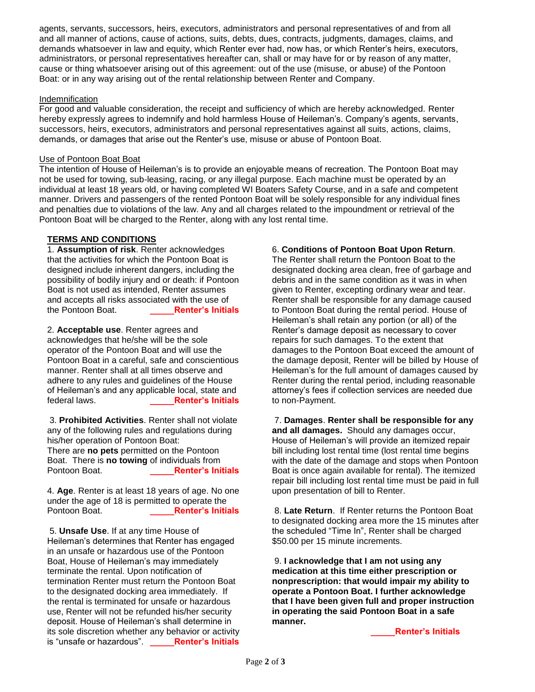agents, servants, successors, heirs, executors, administrators and personal representatives of and from all and all manner of actions, cause of actions, suits, debts, dues, contracts, judgments, damages, claims, and demands whatsoever in law and equity, which Renter ever had, now has, or which Renter's heirs, executors, administrators, or personal representatives hereafter can, shall or may have for or by reason of any matter, cause or thing whatsoever arising out of this agreement: out of the use (misuse, or abuse) of the Pontoon Boat: or in any way arising out of the rental relationship between Renter and Company.

#### Indemnification

For good and valuable consideration, the receipt and sufficiency of which are hereby acknowledged. Renter hereby expressly agrees to indemnify and hold harmless House of Heileman's. Company's agents, servants, successors, heirs, executors, administrators and personal representatives against all suits, actions, claims, demands, or damages that arise out the Renter's use, misuse or abuse of Pontoon Boat.

#### Use of Pontoon Boat Boat

The intention of House of Heileman's is to provide an enjoyable means of recreation. The Pontoon Boat may not be used for towing, sub-leasing, racing, or any illegal purpose. Each machine must be operated by an individual at least 18 years old, or having completed WI Boaters Safety Course, and in a safe and competent manner. Drivers and passengers of the rented Pontoon Boat will be solely responsible for any individual fines and penalties due to violations of the law. Any and all charges related to the impoundment or retrieval of the Pontoon Boat will be charged to the Renter, along with any lost rental time.

#### **TERMS AND CONDITIONS**

1. **Assumption of risk**. Renter acknowledges that the activities for which the Pontoon Boat is designed include inherent dangers, including the possibility of bodily injury and or death: if Pontoon Boat is not used as intended, Renter assumes and accepts all risks associated with the use of the Pontoon Boat. **\_\_\_\_\_Renter's Initials**

2. **Acceptable use**. Renter agrees and acknowledges that he/she will be the sole operator of the Pontoon Boat and will use the Pontoon Boat in a careful, safe and conscientious manner. Renter shall at all times observe and adhere to any rules and guidelines of the House of Heileman's and any applicable local, state and federal laws. **\_\_\_\_\_Renter's Initials**

3. **Prohibited Activities**. Renter shall not violate any of the following rules and regulations during his/her operation of Pontoon Boat: There are **no pets** permitted on the Pontoon Boat. There is **no towing** of individuals from Pontoon Boat. **\_\_\_\_\_Renter's Initials**

4. **Age**. Renter is at least 18 years of age. No one under the age of 18 is permitted to operate the Pontoon Boat. **\_\_\_\_\_Renter's Initials**

5. **Unsafe Use**. If at any time House of Heileman's determines that Renter has engaged in an unsafe or hazardous use of the Pontoon Boat, House of Heileman's may immediately terminate the rental. Upon notification of termination Renter must return the Pontoon Boat to the designated docking area immediately. If the rental is terminated for unsafe or hazardous use, Renter will not be refunded his/her security deposit. House of Heileman's shall determine in its sole discretion whether any behavior or activity is "unsafe or hazardous". **\_\_\_\_\_Renter's Initials**

#### 6. **Conditions of Pontoon Boat Upon Return**.

The Renter shall return the Pontoon Boat to the designated docking area clean, free of garbage and debris and in the same condition as it was in when given to Renter, excepting ordinary wear and tear. Renter shall be responsible for any damage caused to Pontoon Boat during the rental period. House of Heileman's shall retain any portion (or all) of the Renter's damage deposit as necessary to cover repairs for such damages. To the extent that damages to the Pontoon Boat exceed the amount of the damage deposit, Renter will be billed by House of Heileman's for the full amount of damages caused by Renter during the rental period, including reasonable attorney's fees if collection services are needed due to non-Payment.

7. **Damages**. **Renter shall be responsible for any and all damages.** Should any damages occur, House of Heileman's will provide an itemized repair bill including lost rental time (lost rental time begins with the date of the damage and stops when Pontoon Boat is once again available for rental). The itemized repair bill including lost rental time must be paid in full upon presentation of bill to Renter.

8. **Late Return**. If Renter returns the Pontoon Boat to designated docking area more the 15 minutes after the scheduled "Time In", Renter shall be charged \$50.00 per 15 minute increments.

9. **I acknowledge that I am not using any medication at this time either prescription or nonprescription: that would impair my ability to operate a Pontoon Boat. I further acknowledge that I have been given full and proper instruction in operating the said Pontoon Boat in a safe manner.**

**\_\_\_\_\_Renter's Initials**